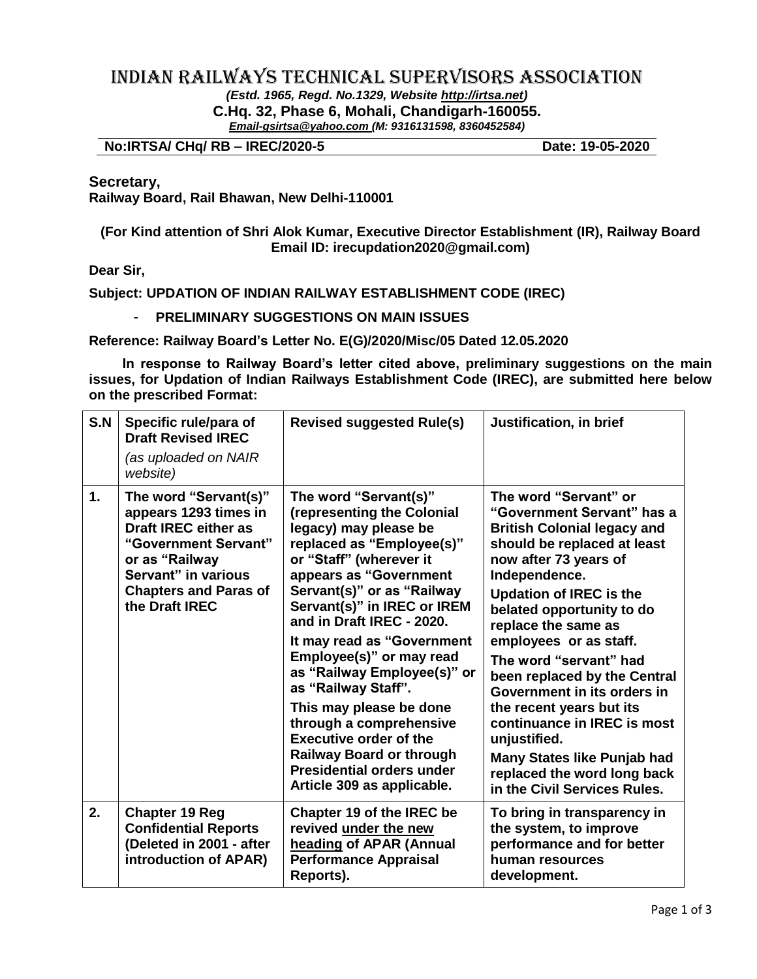## INDIAN RAILWAYS TECHNICAL SUPERVISORS ASSOCIATION

*(Estd. 1965, Regd. No.1329, Website [http://irtsa.net\)](http://irtsa.net/)* **C.Hq. 32, Phase 6, Mohali, Chandigarh-160055.**

*[Email-gsirtsa@yahoo.com](mailto:Email-gsirtsa@yahoo.com) (M: 9316131598, 8360452584)*

**No:IRTSA/ CHq/ RB – IREC/2020-5 Date: 19-05-2020**

**Secretary,** 

**Railway Board, Rail Bhawan, New Delhi-110001**

## **(For Kind attention of Shri Alok Kumar, Executive Director Establishment (IR), Railway Board Email ID: irecupdation2020@gmail.com)**

**Dear Sir,**

**Subject: UPDATION OF INDIAN RAILWAY ESTABLISHMENT CODE (IREC)**

- **PRELIMINARY SUGGESTIONS ON MAIN ISSUES**

**Reference: Railway Board's Letter No. E(G)/2020/Misc/05 Dated 12.05.2020**

**In response to Railway Board's letter cited above, preliminary suggestions on the main issues, for Updation of Indian Railways Establishment Code (IREC), are submitted here below on the prescribed Format:**

| S.N | Specific rule/para of<br><b>Draft Revised IREC</b><br>(as uploaded on NAIR<br>website)                                                                                                           | <b>Revised suggested Rule(s)</b>                                                                                                                                                                                                                                                                                                                                                                                                                                                                                                                                     | Justification, in brief                                                                                                                                                                                                                                                                                                                                                                                                                                                                                                                                     |
|-----|--------------------------------------------------------------------------------------------------------------------------------------------------------------------------------------------------|----------------------------------------------------------------------------------------------------------------------------------------------------------------------------------------------------------------------------------------------------------------------------------------------------------------------------------------------------------------------------------------------------------------------------------------------------------------------------------------------------------------------------------------------------------------------|-------------------------------------------------------------------------------------------------------------------------------------------------------------------------------------------------------------------------------------------------------------------------------------------------------------------------------------------------------------------------------------------------------------------------------------------------------------------------------------------------------------------------------------------------------------|
| 1.  | The word "Servant(s)"<br>appears 1293 times in<br><b>Draft IREC either as</b><br>"Government Servant"<br>or as "Railway<br>Servant" in various<br><b>Chapters and Paras of</b><br>the Draft IREC | The word "Servant(s)"<br>(representing the Colonial<br>legacy) may please be<br>replaced as "Employee(s)"<br>or "Staff" (wherever it<br>appears as "Government<br>Servant(s)" or as "Railway<br>Servant(s)" in IREC or IREM<br>and in Draft IREC - 2020.<br>It may read as "Government<br>Employee(s)" or may read<br>as "Railway Employee(s)" or<br>as "Railway Staff".<br>This may please be done<br>through a comprehensive<br><b>Executive order of the</b><br><b>Railway Board or through</b><br><b>Presidential orders under</b><br>Article 309 as applicable. | The word "Servant" or<br>"Government Servant" has a<br><b>British Colonial legacy and</b><br>should be replaced at least<br>now after 73 years of<br>Independence.<br><b>Updation of IREC is the</b><br>belated opportunity to do<br>replace the same as<br>employees or as staff.<br>The word "servant" had<br>been replaced by the Central<br>Government in its orders in<br>the recent years but its<br>continuance in IREC is most<br>unjustified.<br><b>Many States like Punjab had</b><br>replaced the word long back<br>in the Civil Services Rules. |
| 2.  | <b>Chapter 19 Reg</b><br><b>Confidential Reports</b><br>(Deleted in 2001 - after<br>introduction of APAR)                                                                                        | Chapter 19 of the IREC be<br>revived under the new<br>heading of APAR (Annual<br><b>Performance Appraisal</b><br>Reports).                                                                                                                                                                                                                                                                                                                                                                                                                                           | To bring in transparency in<br>the system, to improve<br>performance and for better<br>human resources<br>development.                                                                                                                                                                                                                                                                                                                                                                                                                                      |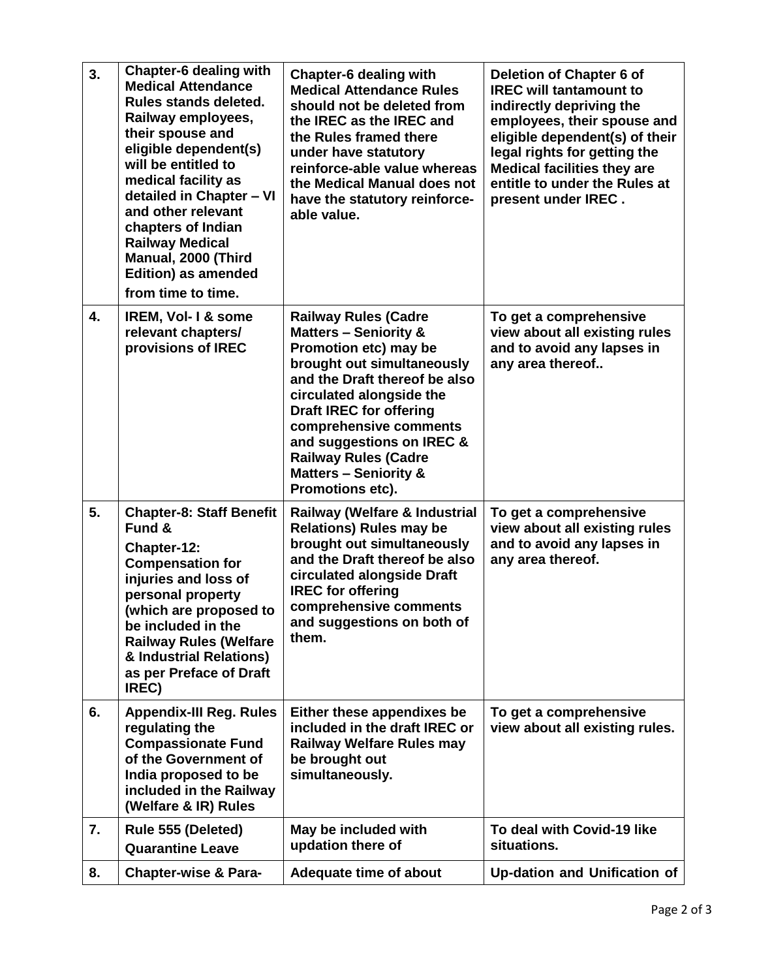| 3.               | <b>Chapter-6 dealing with</b><br><b>Medical Attendance</b><br>Rules stands deleted.<br>Railway employees,<br>their spouse and<br>eligible dependent(s)<br>will be entitled to<br>medical facility as<br>detailed in Chapter - VI<br>and other relevant<br>chapters of Indian<br><b>Railway Medical</b><br>Manual, 2000 (Third<br><b>Edition) as amended</b><br>from time to time. | <b>Chapter-6 dealing with</b><br><b>Medical Attendance Rules</b><br>should not be deleted from<br>the IREC as the IREC and<br>the Rules framed there<br>under have statutory<br>reinforce-able value whereas<br>the Medical Manual does not<br>have the statutory reinforce-<br>able value.                                                                         | Deletion of Chapter 6 of<br><b>IREC will tantamount to</b><br>indirectly depriving the<br>employees, their spouse and<br>eligible dependent(s) of their<br>legal rights for getting the<br><b>Medical facilities they are</b><br>entitle to under the Rules at<br>present under IREC. |
|------------------|-----------------------------------------------------------------------------------------------------------------------------------------------------------------------------------------------------------------------------------------------------------------------------------------------------------------------------------------------------------------------------------|---------------------------------------------------------------------------------------------------------------------------------------------------------------------------------------------------------------------------------------------------------------------------------------------------------------------------------------------------------------------|---------------------------------------------------------------------------------------------------------------------------------------------------------------------------------------------------------------------------------------------------------------------------------------|
| $\overline{4}$ . | IREM, Vol- I & some<br>relevant chapters/<br>provisions of IREC                                                                                                                                                                                                                                                                                                                   | <b>Railway Rules (Cadre</b><br><b>Matters - Seniority &amp;</b><br>Promotion etc) may be<br>brought out simultaneously<br>and the Draft thereof be also<br>circulated alongside the<br><b>Draft IREC for offering</b><br>comprehensive comments<br>and suggestions on IREC &<br><b>Railway Rules (Cadre</b><br><b>Matters - Seniority &amp;</b><br>Promotions etc). | To get a comprehensive<br>view about all existing rules<br>and to avoid any lapses in<br>any area thereof                                                                                                                                                                             |
| 5.               | <b>Chapter-8: Staff Benefit</b><br>Fund &<br>Chapter-12:<br><b>Compensation for</b><br>injuries and loss of<br>personal property<br>(which are proposed to<br>be included in the<br><b>Railway Rules (Welfare</b><br>& Industrial Relations)<br>as per Preface of Draft<br>IREC)                                                                                                  | Railway (Welfare & Industrial<br><b>Relations) Rules may be</b><br>brought out simultaneously<br>and the Draft thereof be also<br>circulated alongside Draft<br><b>IREC for offering</b><br>comprehensive comments<br>and suggestions on both of<br>them.                                                                                                           | To get a comprehensive<br>view about all existing rules<br>and to avoid any lapses in<br>any area thereof.                                                                                                                                                                            |
| 6.               | <b>Appendix-III Reg. Rules</b><br>regulating the<br><b>Compassionate Fund</b><br>of the Government of<br>India proposed to be<br>included in the Railway<br>(Welfare & IR) Rules                                                                                                                                                                                                  | Either these appendixes be<br>included in the draft IREC or<br><b>Railway Welfare Rules may</b><br>be brought out<br>simultaneously.                                                                                                                                                                                                                                | To get a comprehensive<br>view about all existing rules.                                                                                                                                                                                                                              |
| 7.               | Rule 555 (Deleted)<br><b>Quarantine Leave</b>                                                                                                                                                                                                                                                                                                                                     | May be included with<br>updation there of                                                                                                                                                                                                                                                                                                                           | To deal with Covid-19 like<br>situations.                                                                                                                                                                                                                                             |
| 8.               | <b>Chapter-wise &amp; Para-</b>                                                                                                                                                                                                                                                                                                                                                   | Adequate time of about                                                                                                                                                                                                                                                                                                                                              | Up-dation and Unification of                                                                                                                                                                                                                                                          |